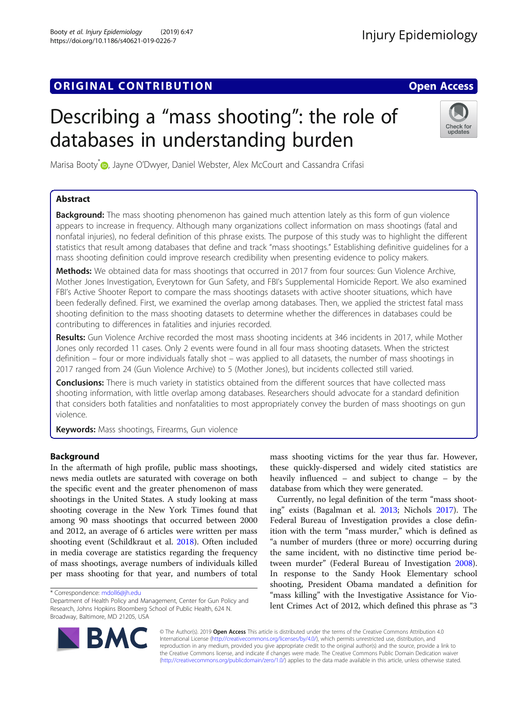# **ORIGINAL CONTRIBUTION CONTRIBUTION CONTRIBUTION**

# Describing a "mass shooting": the role of databases in understanding burden

Marisa Booty<sup>[\\*](http://orcid.org/0000-0003-3991-8196)</sup> D, Jayne O'Dwyer, Daniel Webster, Alex McCourt and Cassandra Crifasi

# Abstract

**Background:** The mass shooting phenomenon has gained much attention lately as this form of gun violence appears to increase in frequency. Although many organizations collect information on mass shootings (fatal and nonfatal injuries), no federal definition of this phrase exists. The purpose of this study was to highlight the different statistics that result among databases that define and track "mass shootings." Establishing definitive guidelines for a mass shooting definition could improve research credibility when presenting evidence to policy makers.

Methods: We obtained data for mass shootings that occurred in 2017 from four sources: Gun Violence Archive, Mother Jones Investigation, Everytown for Gun Safety, and FBI's Supplemental Homicide Report. We also examined FBI's Active Shooter Report to compare the mass shootings datasets with active shooter situations, which have been federally defined. First, we examined the overlap among databases. Then, we applied the strictest fatal mass shooting definition to the mass shooting datasets to determine whether the differences in databases could be contributing to differences in fatalities and injuries recorded.

Results: Gun Violence Archive recorded the most mass shooting incidents at 346 incidents in 2017, while Mother Jones only recorded 11 cases. Only 2 events were found in all four mass shooting datasets. When the strictest definition – four or more individuals fatally shot – was applied to all datasets, the number of mass shootings in 2017 ranged from 24 (Gun Violence Archive) to 5 (Mother Jones), but incidents collected still varied.

Conclusions: There is much variety in statistics obtained from the different sources that have collected mass shooting information, with little overlap among databases. Researchers should advocate for a standard definition that considers both fatalities and nonfatalities to most appropriately convey the burden of mass shootings on gun violence.

Keywords: Mass shootings, Firearms, Gun violence

# Background

In the aftermath of high profile, public mass shootings, news media outlets are saturated with coverage on both the specific event and the greater phenomenon of mass shootings in the United States. A study looking at mass shooting coverage in the New York Times found that among 90 mass shootings that occurred between 2000 and 2012, an average of 6 articles were written per mass shooting event (Schildkraut et al. [2018\)](#page-7-0). Often included in media coverage are statistics regarding the frequency of mass shootings, average numbers of individuals killed per mass shooting for that year, and numbers of total

mass shooting victims for the year thus far. However, these quickly-dispersed and widely cited statistics are heavily influenced – and subject to change – by the database from which they were generated.

Currently, no legal definition of the term "mass shooting" exists (Bagalman et al. [2013;](#page-6-0) Nichols [2017\)](#page-7-0). The Federal Bureau of Investigation provides a close definition with the term "mass murder," which is defined as "a number of murders (three or more) occurring during the same incident, with no distinctive time period between murder" (Federal Bureau of Investigation [2008](#page-7-0)). In response to the Sandy Hook Elementary school shooting, President Obama mandated a definition for "mass killing" with the Investigative Assistance for Violent Crimes Act of 2012, which defined this phrase as "3

© The Author(s). 2019 **Open Access** This article is distributed under the terms of the Creative Commons Attribution 4.0 International License [\(http://creativecommons.org/licenses/by/4.0/](http://creativecommons.org/licenses/by/4.0/)), which permits unrestricted use, distribution, and reproduction in any medium, provided you give appropriate credit to the original author(s) and the source, provide a link to the Creative Commons license, and indicate if changes were made. The Creative Commons Public Domain Dedication waiver [\(http://creativecommons.org/publicdomain/zero/1.0/](http://creativecommons.org/publicdomain/zero/1.0/)) applies to the data made available in this article, unless otherwise stated.





<sup>\*</sup> Correspondence: [mdoll6@jh.edu](mailto:mdoll6@jh.edu)

Department of Health Policy and Management, Center for Gun Policy and Research, Johns Hopkins Bloomberg School of Public Health, 624 N. Broadway, Baltimore, MD 21205, USA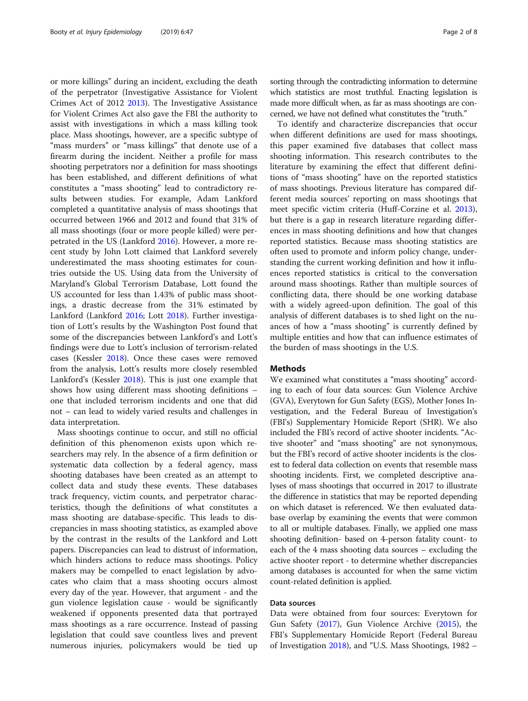or more killings" during an incident, excluding the death of the perpetrator (Investigative Assistance for Violent Crimes Act of 2012 [2013\)](#page-7-0). The Investigative Assistance for Violent Crimes Act also gave the FBI the authority to assist with investigations in which a mass killing took place. Mass shootings, however, are a specific subtype of "mass murders" or "mass killings" that denote use of a firearm during the incident. Neither a profile for mass shooting perpetrators nor a definition for mass shootings has been established, and different definitions of what constitutes a "mass shooting" lead to contradictory results between studies. For example, Adam Lankford completed a quantitative analysis of mass shootings that occurred between 1966 and 2012 and found that 31% of all mass shootings (four or more people killed) were perpetrated in the US (Lankford [2016\)](#page-7-0). However, a more recent study by John Lott claimed that Lankford severely underestimated the mass shooting estimates for countries outside the US. Using data from the University of Maryland's Global Terrorism Database, Lott found the US accounted for less than 1.43% of public mass shootings, a drastic decrease from the 31% estimated by Lankford (Lankford [2016](#page-7-0); Lott [2018\)](#page-7-0). Further investigation of Lott's results by the Washington Post found that some of the discrepancies between Lankford's and Lott's findings were due to Lott's inclusion of terrorism-related cases (Kessler [2018](#page-7-0)). Once these cases were removed from the analysis, Lott's results more closely resembled Lankford's (Kessler [2018\)](#page-7-0). This is just one example that shows how using different mass shooting definitions – one that included terrorism incidents and one that did not – can lead to widely varied results and challenges in data interpretation.

Mass shootings continue to occur, and still no official definition of this phenomenon exists upon which researchers may rely. In the absence of a firm definition or systematic data collection by a federal agency, mass shooting databases have been created as an attempt to collect data and study these events. These databases track frequency, victim counts, and perpetrator characteristics, though the definitions of what constitutes a mass shooting are database-specific. This leads to discrepancies in mass shooting statistics, as exampled above by the contrast in the results of the Lankford and Lott papers. Discrepancies can lead to distrust of information, which hinders actions to reduce mass shootings. Policy makers may be compelled to enact legislation by advocates who claim that a mass shooting occurs almost every day of the year. However, that argument - and the gun violence legislation cause - would be significantly weakened if opponents presented data that portrayed mass shootings as a rare occurrence. Instead of passing legislation that could save countless lives and prevent numerous injuries, policymakers would be tied up sorting through the contradicting information to determine which statistics are most truthful. Enacting legislation is made more difficult when, as far as mass shootings are concerned, we have not defined what constitutes the "truth."

To identify and characterize discrepancies that occur when different definitions are used for mass shootings, this paper examined five databases that collect mass shooting information. This research contributes to the literature by examining the effect that different definitions of "mass shooting" have on the reported statistics of mass shootings. Previous literature has compared different media sources' reporting on mass shootings that meet specific victim criteria (Huff-Corzine et al. [2013](#page-7-0)), but there is a gap in research literature regarding differences in mass shooting definitions and how that changes reported statistics. Because mass shooting statistics are often used to promote and inform policy change, understanding the current working definition and how it influences reported statistics is critical to the conversation around mass shootings. Rather than multiple sources of conflicting data, there should be one working database with a widely agreed-upon definition. The goal of this analysis of different databases is to shed light on the nuances of how a "mass shooting" is currently defined by multiple entities and how that can influence estimates of the burden of mass shootings in the U.S.

## Methods

We examined what constitutes a "mass shooting" according to each of four data sources: Gun Violence Archive (GVA), Everytown for Gun Safety (EGS), Mother Jones Investigation, and the Federal Bureau of Investigation's (FBI's) Supplementary Homicide Report (SHR). We also included the FBI's record of active shooter incidents. "Active shooter" and "mass shooting" are not synonymous, but the FBI's record of active shooter incidents is the closest to federal data collection on events that resemble mass shooting incidents. First, we completed descriptive analyses of mass shootings that occurred in 2017 to illustrate the difference in statistics that may be reported depending on which dataset is referenced. We then evaluated database overlap by examining the events that were common to all or multiple databases. Finally, we applied one mass shooting definition- based on 4-person fatality count- to each of the 4 mass shooting data sources – excluding the active shooter report - to determine whether discrepancies among databases is accounted for when the same victim count-related definition is applied.

# Data sources

Data were obtained from four sources: Everytown for Gun Safety ([2017](#page-7-0)), Gun Violence Archive [\(2015](#page-7-0)), the FBI's Supplementary Homicide Report (Federal Bureau of Investigation [2018\)](#page-7-0), and "U.S. Mass Shootings, 1982 –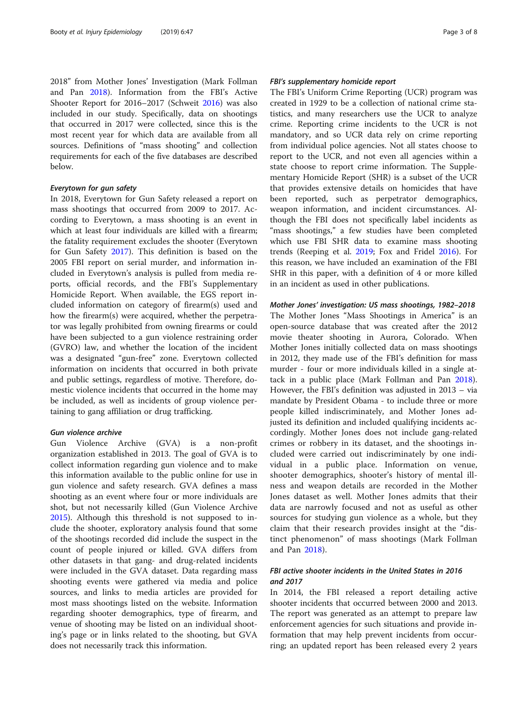2018" from Mother Jones' Investigation (Mark Follman and Pan [2018](#page-7-0)). Information from the FBI's Active Shooter Report for 2016–2017 (Schweit [2016](#page-7-0)) was also included in our study. Specifically, data on shootings that occurred in 2017 were collected, since this is the most recent year for which data are available from all sources. Definitions of "mass shooting" and collection requirements for each of the five databases are described below.

## Everytown for gun safety

In 2018, Everytown for Gun Safety released a report on mass shootings that occurred from 2009 to 2017. According to Everytown, a mass shooting is an event in which at least four individuals are killed with a firearm; the fatality requirement excludes the shooter (Everytown for Gun Safety [2017](#page-7-0)). This definition is based on the 2005 FBI report on serial murder, and information included in Everytown's analysis is pulled from media reports, official records, and the FBI's Supplementary Homicide Report. When available, the EGS report included information on category of firearm(s) used and how the firearm(s) were acquired, whether the perpetrator was legally prohibited from owning firearms or could have been subjected to a gun violence restraining order (GVRO) law, and whether the location of the incident was a designated "gun-free" zone. Everytown collected information on incidents that occurred in both private and public settings, regardless of motive. Therefore, domestic violence incidents that occurred in the home may be included, as well as incidents of group violence pertaining to gang affiliation or drug trafficking.

#### Gun violence archive

Gun Violence Archive (GVA) is a non-profit organization established in 2013. The goal of GVA is to collect information regarding gun violence and to make this information available to the public online for use in gun violence and safety research. GVA defines a mass shooting as an event where four or more individuals are shot, but not necessarily killed (Gun Violence Archive [2015](#page-7-0)). Although this threshold is not supposed to include the shooter, exploratory analysis found that some of the shootings recorded did include the suspect in the count of people injured or killed. GVA differs from other datasets in that gang- and drug-related incidents were included in the GVA dataset. Data regarding mass shooting events were gathered via media and police sources, and links to media articles are provided for most mass shootings listed on the website. Information regarding shooter demographics, type of firearm, and venue of shooting may be listed on an individual shooting's page or in links related to the shooting, but GVA does not necessarily track this information.

# FBI's supplementary homicide report

The FBI's Uniform Crime Reporting (UCR) program was created in 1929 to be a collection of national crime statistics, and many researchers use the UCR to analyze crime. Reporting crime incidents to the UCR is not mandatory, and so UCR data rely on crime reporting from individual police agencies. Not all states choose to report to the UCR, and not even all agencies within a state choose to report crime information. The Supplementary Homicide Report (SHR) is a subset of the UCR that provides extensive details on homicides that have been reported, such as perpetrator demographics, weapon information, and incident circumstances. Although the FBI does not specifically label incidents as "mass shootings," a few studies have been completed which use FBI SHR data to examine mass shooting trends (Reeping et al. [2019](#page-7-0); Fox and Fridel [2016\)](#page-7-0). For this reason, we have included an examination of the FBI SHR in this paper, with a definition of 4 or more killed in an incident as used in other publications.

Mother Jones' investigation: US mass shootings, 1982–2018 The Mother Jones "Mass Shootings in America" is an open-source database that was created after the 2012 movie theater shooting in Aurora, Colorado. When Mother Jones initially collected data on mass shootings in 2012, they made use of the FBI's definition for mass murder - four or more individuals killed in a single attack in a public place (Mark Follman and Pan [2018](#page-7-0)). However, the FBI's definition was adjusted in 2013 – via mandate by President Obama - to include three or more people killed indiscriminately, and Mother Jones adjusted its definition and included qualifying incidents accordingly. Mother Jones does not include gang-related crimes or robbery in its dataset, and the shootings included were carried out indiscriminately by one individual in a public place. Information on venue, shooter demographics, shooter's history of mental illness and weapon details are recorded in the Mother Jones dataset as well. Mother Jones admits that their data are narrowly focused and not as useful as other sources for studying gun violence as a whole, but they claim that their research provides insight at the "distinct phenomenon" of mass shootings (Mark Follman and Pan [2018](#page-7-0)).

# FBI active shooter incidents in the United States in 2016 and 2017

In 2014, the FBI released a report detailing active shooter incidents that occurred between 2000 and 2013. The report was generated as an attempt to prepare law enforcement agencies for such situations and provide information that may help prevent incidents from occurring; an updated report has been released every 2 years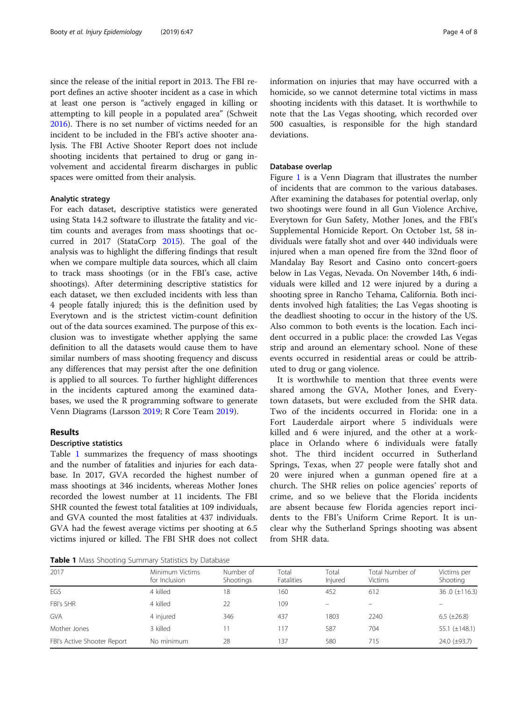<span id="page-3-0"></span>since the release of the initial report in 2013. The FBI report defines an active shooter incident as a case in which at least one person is "actively engaged in killing or attempting to kill people in a populated area" (Schweit [2016](#page-7-0)). There is no set number of victims needed for an incident to be included in the FBI's active shooter analysis. The FBI Active Shooter Report does not include shooting incidents that pertained to drug or gang involvement and accidental firearm discharges in public spaces were omitted from their analysis.

# Analytic strategy

For each dataset, descriptive statistics were generated using Stata 14.2 software to illustrate the fatality and victim counts and averages from mass shootings that occurred in 2017 (StataCorp [2015\)](#page-7-0). The goal of the analysis was to highlight the differing findings that result when we compare multiple data sources, which all claim to track mass shootings (or in the FBI's case, active shootings). After determining descriptive statistics for each dataset, we then excluded incidents with less than 4 people fatally injured; this is the definition used by Everytown and is the strictest victim-count definition out of the data sources examined. The purpose of this exclusion was to investigate whether applying the same definition to all the datasets would cause them to have similar numbers of mass shooting frequency and discuss any differences that may persist after the one definition is applied to all sources. To further highlight differences in the incidents captured among the examined databases, we used the R programming software to generate Venn Diagrams (Larsson [2019;](#page-7-0) R Core Team [2019\)](#page-7-0).

# Results

#### Descriptive statistics

Table 1 summarizes the frequency of mass shootings and the number of fatalities and injuries for each database. In 2017, GVA recorded the highest number of mass shootings at 346 incidents, whereas Mother Jones recorded the lowest number at 11 incidents. The FBI SHR counted the fewest total fatalities at 109 individuals, and GVA counted the most fatalities at 437 individuals. GVA had the fewest average victims per shooting at 6.5 victims injured or killed. The FBI SHR does not collect

Table 1 Mass Shooting Summary Statistics by Database

information on injuries that may have occurred with a homicide, so we cannot determine total victims in mass shooting incidents with this dataset. It is worthwhile to note that the Las Vegas shooting, which recorded over 500 casualties, is responsible for the high standard deviations.

# Database overlap

Figure [1](#page-4-0) is a Venn Diagram that illustrates the number of incidents that are common to the various databases. After examining the databases for potential overlap, only two shootings were found in all Gun Violence Archive, Everytown for Gun Safety, Mother Jones, and the FBI's Supplemental Homicide Report. On October 1st, 58 individuals were fatally shot and over 440 individuals were injured when a man opened fire from the 32nd floor of Mandalay Bay Resort and Casino onto concert-goers below in Las Vegas, Nevada. On November 14th, 6 individuals were killed and 12 were injured by a during a shooting spree in Rancho Tehama, California. Both incidents involved high fatalities; the Las Vegas shooting is the deadliest shooting to occur in the history of the US. Also common to both events is the location. Each incident occurred in a public place: the crowded Las Vegas strip and around an elementary school. None of these events occurred in residential areas or could be attributed to drug or gang violence.

It is worthwhile to mention that three events were shared among the GVA, Mother Jones, and Everytown datasets, but were excluded from the SHR data. Two of the incidents occurred in Florida: one in a Fort Lauderdale airport where 5 individuals were killed and 6 were injured, and the other at a workplace in Orlando where 6 individuals were fatally shot. The third incident occurred in Sutherland Springs, Texas, when 27 people were fatally shot and 20 were injured when a gunman opened fire at a church. The SHR relies on police agencies' reports of crime, and so we believe that the Florida incidents are absent because few Florida agencies report incidents to the FBI's Uniform Crime Report. It is unclear why the Sutherland Springs shooting was absent from SHR data.

| 2017                        | Minimum Victims<br>for Inclusion | Number of<br>Shootings | Total<br>Fatalities | Total<br>Injured         | Total Number of<br>Victims | Victims per<br>Shooting |
|-----------------------------|----------------------------------|------------------------|---------------------|--------------------------|----------------------------|-------------------------|
| EGS                         | 4 killed                         | 18                     | 160                 | 452                      | 612                        | 36.0 $(\pm 116.3)$      |
| FBI's SHR                   | 4 killed                         | 22                     | 109                 | $\overline{\phantom{m}}$ | -                          |                         |
| <b>GVA</b>                  | 4 injured                        | 346                    | 437                 | 1803                     | 2240                       | 6.5 $(\pm 26.8)$        |
| Mother Jones                | 3 killed                         |                        | 117                 | 587                      | 704                        | 55.1 $(\pm 148.1)$      |
| FBI's Active Shooter Report | No minimum                       | 28                     | 137                 | 580                      | 715                        | 24.0 (±93.7)            |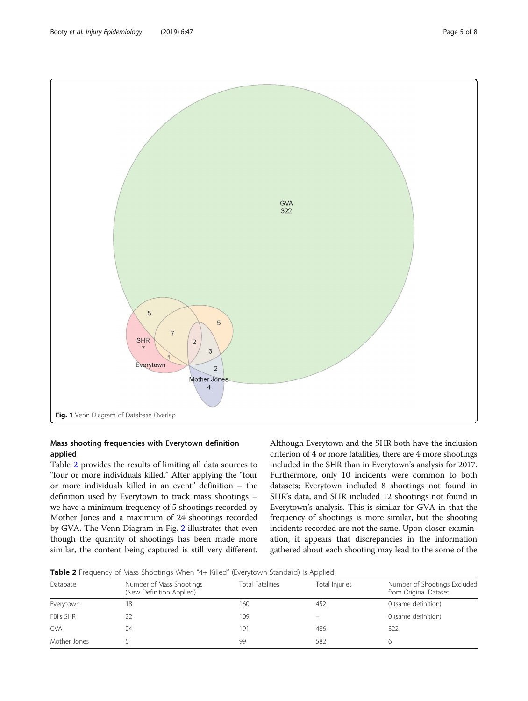<span id="page-4-0"></span>

# Mass shooting frequencies with Everytown definition applied

Table 2 provides the results of limiting all data sources to "four or more individuals killed." After applying the "four or more individuals killed in an event" definition – the definition used by Everytown to track mass shootings – we have a minimum frequency of 5 shootings recorded by Mother Jones and a maximum of 24 shootings recorded by GVA. The Venn Diagram in Fig. [2](#page-5-0) illustrates that even though the quantity of shootings has been made more similar, the content being captured is still very different.

Although Everytown and the SHR both have the inclusion criterion of 4 or more fatalities, there are 4 more shootings included in the SHR than in Everytown's analysis for 2017. Furthermore, only 10 incidents were common to both datasets; Everytown included 8 shootings not found in SHR's data, and SHR included 12 shootings not found in Everytown's analysis. This is similar for GVA in that the frequency of shootings is more similar, but the shooting incidents recorded are not the same. Upon closer examination, it appears that discrepancies in the information gathered about each shooting may lead to the some of the

**Table 2** Frequency of Mass Shootings When "4+ Killed" (Everytown Standard) Is Applied

| Database     | Number of Mass Shootings<br>(New Definition Applied) | <b>Total Fatalities</b> | Total Injuries | Number of Shootings Excluded<br>from Original Dataset |
|--------------|------------------------------------------------------|-------------------------|----------------|-------------------------------------------------------|
| Everytown    | 18                                                   | 160                     | 452            | 0 (same definition)                                   |
| FBI's SHR    |                                                      | 109                     |                | 0 (same definition)                                   |
| <b>GVA</b>   | 24                                                   | 191                     | 486            | 322                                                   |
| Mother Jones |                                                      | 99                      | 582            |                                                       |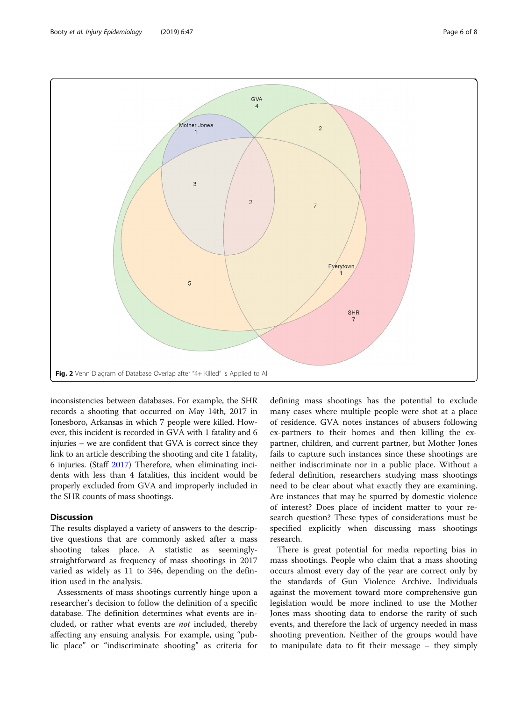<span id="page-5-0"></span>

inconsistencies between databases. For example, the SHR records a shooting that occurred on May 14th, 2017 in Jonesboro, Arkansas in which 7 people were killed. However, this incident is recorded in GVA with 1 fatality and 6 injuries – we are confident that GVA is correct since they link to an article describing the shooting and cite 1 fatality, 6 injuries. (Staff [2017](#page-7-0)) Therefore, when eliminating incidents with less than 4 fatalities, this incident would be properly excluded from GVA and improperly included in the SHR counts of mass shootings.

# **Discussion**

The results displayed a variety of answers to the descriptive questions that are commonly asked after a mass shooting takes place. A statistic as seeminglystraightforward as frequency of mass shootings in 2017 varied as widely as 11 to 346, depending on the definition used in the analysis.

Assessments of mass shootings currently hinge upon a researcher's decision to follow the definition of a specific database. The definition determines what events are included, or rather what events are not included, thereby affecting any ensuing analysis. For example, using "public place" or "indiscriminate shooting" as criteria for

defining mass shootings has the potential to exclude many cases where multiple people were shot at a place of residence. GVA notes instances of abusers following ex-partners to their homes and then killing the expartner, children, and current partner, but Mother Jones fails to capture such instances since these shootings are neither indiscriminate nor in a public place. Without a federal definition, researchers studying mass shootings need to be clear about what exactly they are examining. Are instances that may be spurred by domestic violence of interest? Does place of incident matter to your research question? These types of considerations must be specified explicitly when discussing mass shootings research.

There is great potential for media reporting bias in mass shootings. People who claim that a mass shooting occurs almost every day of the year are correct only by the standards of Gun Violence Archive. Individuals against the movement toward more comprehensive gun legislation would be more inclined to use the Mother Jones mass shooting data to endorse the rarity of such events, and therefore the lack of urgency needed in mass shooting prevention. Neither of the groups would have to manipulate data to fit their message – they simply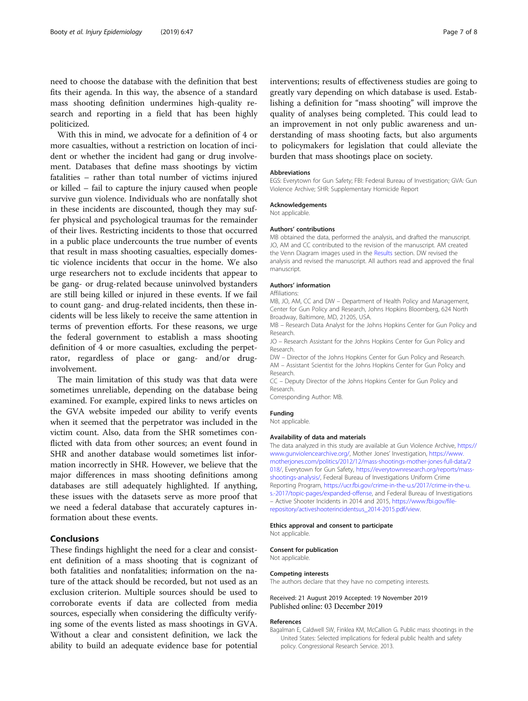<span id="page-6-0"></span>need to choose the database with the definition that best fits their agenda. In this way, the absence of a standard mass shooting definition undermines high-quality research and reporting in a field that has been highly politicized.

With this in mind, we advocate for a definition of 4 or more casualties, without a restriction on location of incident or whether the incident had gang or drug involvement. Databases that define mass shootings by victim fatalities – rather than total number of victims injured or killed – fail to capture the injury caused when people survive gun violence. Individuals who are nonfatally shot in these incidents are discounted, though they may suffer physical and psychological traumas for the remainder of their lives. Restricting incidents to those that occurred in a public place undercounts the true number of events that result in mass shooting casualties, especially domestic violence incidents that occur in the home. We also urge researchers not to exclude incidents that appear to be gang- or drug-related because uninvolved bystanders are still being killed or injured in these events. If we fail to count gang- and drug-related incidents, then these incidents will be less likely to receive the same attention in terms of prevention efforts. For these reasons, we urge the federal government to establish a mass shooting definition of 4 or more casualties, excluding the perpetrator, regardless of place or gang- and/or druginvolvement.

The main limitation of this study was that data were sometimes unreliable, depending on the database being examined. For example, expired links to news articles on the GVA website impeded our ability to verify events when it seemed that the perpetrator was included in the victim count. Also, data from the SHR sometimes conflicted with data from other sources; an event found in SHR and another database would sometimes list information incorrectly in SHR. However, we believe that the major differences in mass shooting definitions among databases are still adequately highlighted. If anything, these issues with the datasets serve as more proof that we need a federal database that accurately captures information about these events.

# **Conclusions**

These findings highlight the need for a clear and consistent definition of a mass shooting that is cognizant of both fatalities and nonfatalities; information on the nature of the attack should be recorded, but not used as an exclusion criterion. Multiple sources should be used to corroborate events if data are collected from media sources, especially when considering the difficulty verifying some of the events listed as mass shootings in GVA. Without a clear and consistent definition, we lack the ability to build an adequate evidence base for potential

interventions; results of effectiveness studies are going to greatly vary depending on which database is used. Establishing a definition for "mass shooting" will improve the quality of analyses being completed. This could lead to an improvement in not only public awareness and understanding of mass shooting facts, but also arguments to policymakers for legislation that could alleviate the burden that mass shootings place on society.

#### Abbreviations

EGS: Everytown for Gun Safety; FBI: Federal Bureau of Investigation; GVA: Gun Violence Archive; SHR: Supplementary Homicide Report

# Acknowledgements

Not applicable.

#### Authors' contributions

MB obtained the data, performed the analysis, and drafted the manuscript. JO, AM and CC contributed to the revision of the manuscript. AM created the Venn Diagram images used in the [Results](#page-3-0) section. DW revised the analysis and revised the manuscript. All authors read and approved the final manuscript.

#### Authors' information

Affiliations:

MB, JO, AM, CC and DW – Department of Health Policy and Management, Center for Gun Policy and Research, Johns Hopkins Bloomberg, 624 North Broadway, Baltimore, MD, 21205, USA.

MB – Research Data Analyst for the Johns Hopkins Center for Gun Policy and Research.

JO – Research Assistant for the Johns Hopkins Center for Gun Policy and Research.

DW – Director of the Johns Hopkins Center for Gun Policy and Research. AM – Assistant Scientist for the Johns Hopkins Center for Gun Policy and Research.

CC – Deputy Director of the Johns Hopkins Center for Gun Policy and Research.

Corresponding Author: MB.

Funding

Not applicable.

#### Availability of data and materials

The data analyzed in this study are available at Gun Violence Archive, [https://](https://www.gunviolencearchive.org/) [www.gunviolencearchive.org/](https://www.gunviolencearchive.org/), Mother Jones' Investigation, [https://www.](https://www.motherjones.com/politics/2012/12/mass-shootings-mother-jones-full-data/2018/) [motherjones.com/politics/2012/12/mass-shootings-mother-jones-full-data/2](https://www.motherjones.com/politics/2012/12/mass-shootings-mother-jones-full-data/2018/) [018/](https://www.motherjones.com/politics/2012/12/mass-shootings-mother-jones-full-data/2018/), Everytown for Gun Safety, [https://everytownresearch.org/reports/mass](https://everytownresearch.org/reports/mass-shootings-analysis/)[shootings-analysis/](https://everytownresearch.org/reports/mass-shootings-analysis/), Federal Bureau of Investigations Uniform Crime Reporting Program, [https://ucr.fbi.gov/crime-in-the-u.s/2017/crime-in-the-u.](https://ucr.fbi.gov/crime-in-the-u.s/2017/crime-in-the-u.s.-2017/topic-pages/expanded-offense) [s.-2017/topic-pages/expanded-offense,](https://ucr.fbi.gov/crime-in-the-u.s/2017/crime-in-the-u.s.-2017/topic-pages/expanded-offense) and Federal Bureau of Investigations – Active Shooter Incidents in 2014 and 2015, [https://www.fbi.gov/file](https://www.fbi.gov/file-repository/activeshooterincidentsus_2014-2015.pdf/view)[repository/activeshooterincidentsus\\_2014-2015.pdf/view.](https://www.fbi.gov/file-repository/activeshooterincidentsus_2014-2015.pdf/view)

Ethics approval and consent to participate

Consent for publication

Not applicable.

Not applicable.

#### Competing interests

The authors declare that they have no competing interests.

Received: 21 August 2019 Accepted: 19 November 2019 Published online: 03 December 2019

#### References

Bagalman E, Caldwell SW, Finklea KM, McCallion G. Public mass shootings in the United States: Selected implications for federal public health and safety policy. Congressional Research Service. 2013.